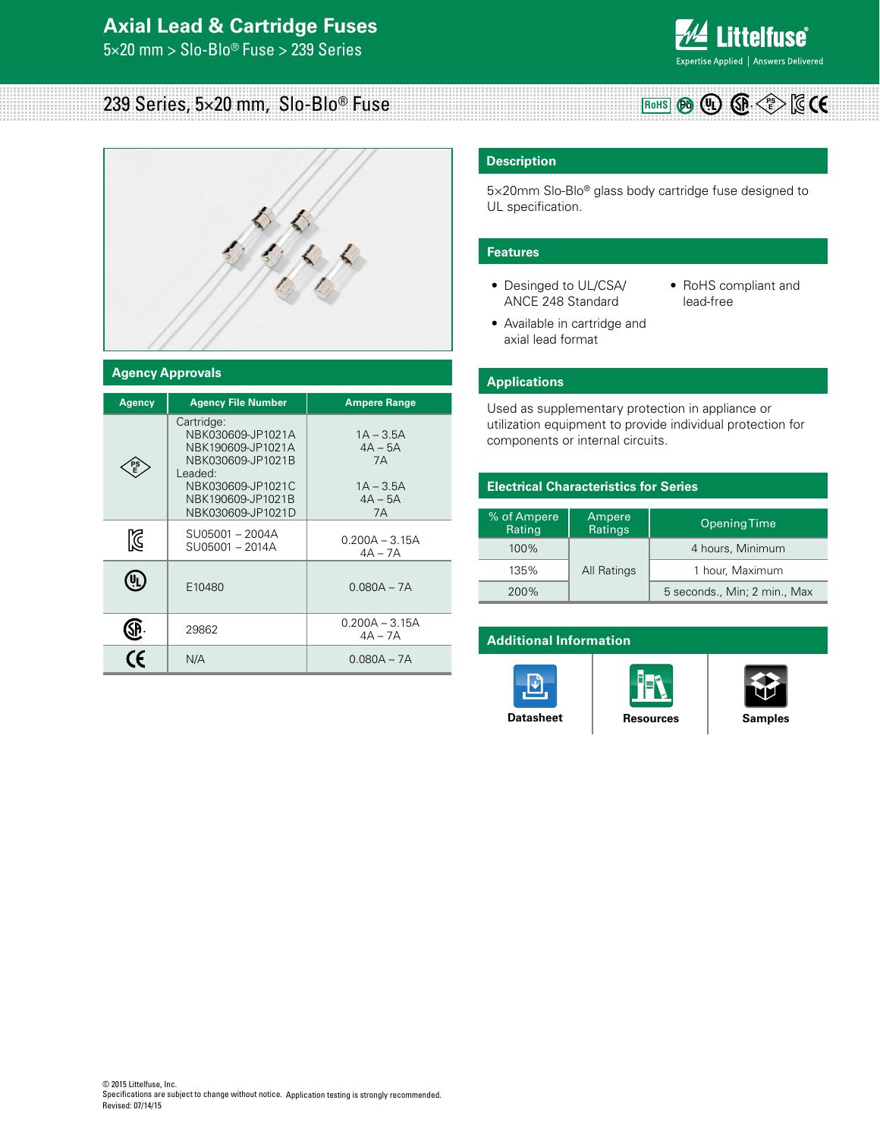5×20 mm > Slo-Blo® Fuse > 239 Series



**RoHS (Pb** (UL) **QP**  $\leq$ 

# 239 Series, 5×20 mm, Slo-Blo® Fuse



### **Agency Approvals**

| <b>Agency</b> | <b>Agency File Number</b>                                                                                                                           | <b>Ampere Range</b>                                              |  |  |
|---------------|-----------------------------------------------------------------------------------------------------------------------------------------------------|------------------------------------------------------------------|--|--|
|               | Cartridge:<br>NBK030609-JP1021A<br>NBK190609-JP1021A<br>NBK030609-JP1021B<br>Leaded:<br>NBK030609-JP1021C<br>NBK190609-JP1021B<br>NBK030609-JP1021D | $1A - 3.5A$<br>$4A - 5A$<br>7A<br>$1A - 3.5A$<br>$4A - 5A$<br>7A |  |  |
| K             | SU05001-2004A<br>SU05001 - 2014A                                                                                                                    | $0.200A - 3.15A$<br>$4A - 7A$                                    |  |  |
| E10480        |                                                                                                                                                     | $0.080A - 7A$                                                    |  |  |
|               | 29862                                                                                                                                               | $0.200A - 3.15A$<br>$4A - 7A$                                    |  |  |
| $\epsilon$    | N/A                                                                                                                                                 | $0.080A - 7A$                                                    |  |  |

### **Description**

5×20mm Slo-Blo® glass body cartridge fuse designed to UL specification.

#### **Features**

- Desinged to UL/CSA/ ANCE 248 Standard
- RoHS compliant and lead-free
- Available in cartridge and axial lead format

### **Applications**

Used as supplementary protection in appliance or utilization equipment to provide individual protection for components or internal circuits.

### **Electrical Characteristics for Series**

| % of Ampere<br>Ampere<br>Ratings<br>Rating |             | <b>Opening Time</b>          |  |  |
|--------------------------------------------|-------------|------------------------------|--|--|
| $100\%$                                    |             | 4 hours, Minimum             |  |  |
| 135%                                       | All Ratings | 1 hour, Maximum              |  |  |
| <b>200%</b>                                |             | 5 seconds., Min; 2 min., Max |  |  |

#### **Additional Information**





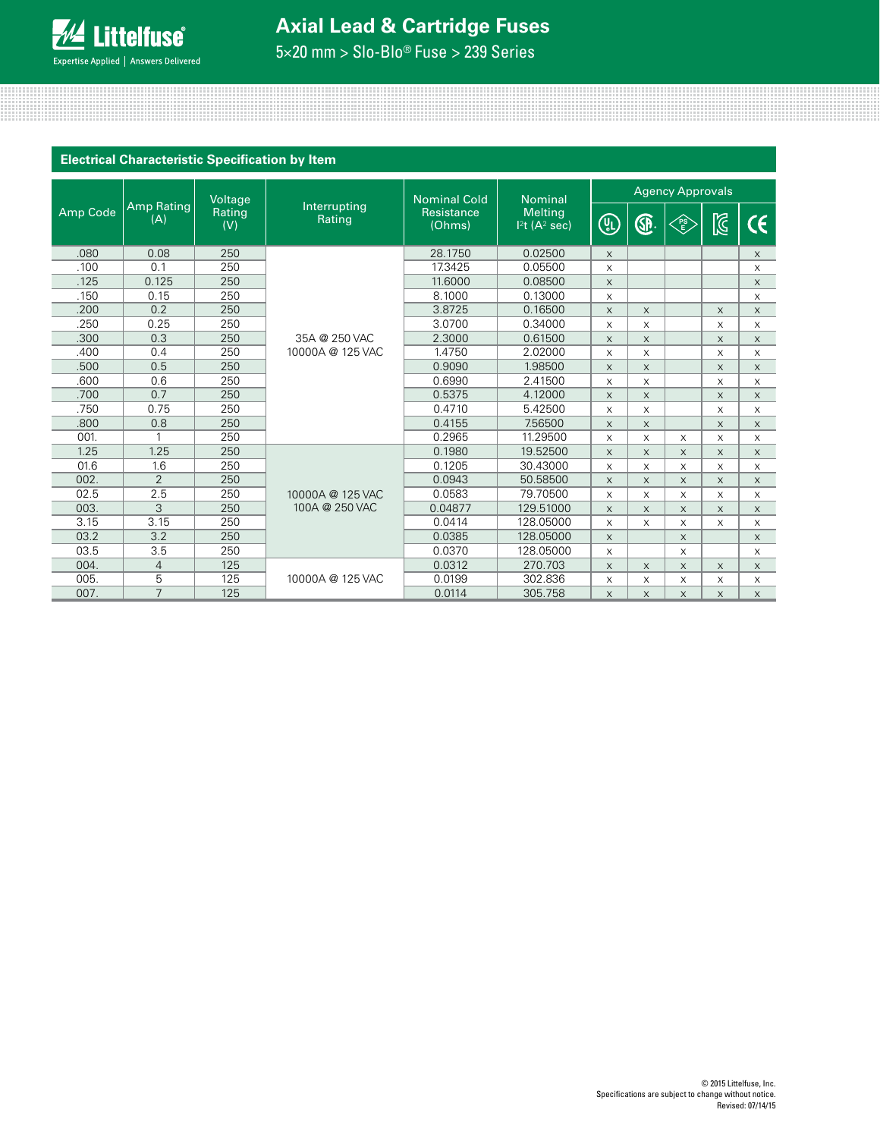

5×20 mm > Slo-Blo® Fuse > 239 Series

<u> 11. mart - Andreas Andrews, American american american american american american american american american</u>

|          |                                    | Voltage |                        | <b>Nominal Cold</b>  | <b>Nominal</b>                                | <b>Agency Approvals</b>   |              |          |              |          |
|----------|------------------------------------|---------|------------------------|----------------------|-----------------------------------------------|---------------------------|--------------|----------|--------------|----------|
| Amp Code | Amp Rating<br>Rating<br>(A)<br>(V) |         | Interrupting<br>Rating | Resistance<br>(Ohms) | <b>Melting</b><br>$12$ t (A <sup>2</sup> sec) | (U)                       | ®.           | FS<br>E  | $\mathbb{Z}$ | CE       |
| .080     | 0.08                               | 250     |                        | 28.1750              | 0.02500                                       | $\times$                  |              |          |              | $\times$ |
| .100     | 0.1                                | 250     |                        | 17.3425              | 0.05500                                       | X                         |              |          |              | X        |
| .125     | 0.125                              | 250     |                        | 11.6000              | 0.08500                                       | $\times$                  |              |          |              | X        |
| .150     | 0.15                               | 250     |                        | 8.1000               | 0.13000                                       | X                         |              |          |              | X        |
| .200     | 0.2                                | 250     |                        | 3.8725               | 0.16500                                       | $\times$                  | X            |          | $\times$     | X        |
| .250     | 0.25                               | 250     |                        | 3.0700               | 0.34000                                       | $\times$                  | X            |          | $\times$     | $\times$ |
| .300     | 0.3                                | 250     | 35A @ 250 VAC          | 2.3000               | 0.61500                                       | $\times$                  | $\times$     |          | $\times$     | $\times$ |
| .400     | 0.4                                | 250     | 10000A @ 125 VAC       | 1.4750               | 2.02000                                       | X                         | X            |          | $\times$     | X        |
| .500     | 0.5                                | 250     |                        | 0.9090               | 1.98500                                       | $\times$                  | $\times$     |          | $\times$     | X        |
| .600     | 0.6                                | 250     |                        | 0.6990               | 2.41500                                       | X                         | X            |          | X            | X        |
| .700     | 0.7                                | 250     |                        | 0.5375               | 4.12000                                       | $\times$                  | $\times$     |          | $\times$     | $\times$ |
| .750     | 0.75                               | 250     |                        | 0.4710               | 5.42500                                       | X                         | X            |          | $\times$     | X        |
| .800     | 0.8                                | 250     |                        | 0.4155               | 7.56500                                       | $\times$                  | $\times$     |          | $\times$     | X        |
| 001.     | 1                                  | 250     |                        | 0.2965               | 11.29500                                      | X                         | X            | X        | X            | X        |
| 1.25     | 1.25                               | 250     |                        | 0.1980               | 19.52500                                      | $\times$                  | $\times$     | $\times$ | $\times$     | $\times$ |
| 01.6     | 1.6                                | 250     |                        | 0.1205               | 30.43000                                      | $\times$                  | $\times$     | $\times$ | $\times$     | $\times$ |
| 002.     | $\overline{2}$                     | 250     |                        | 0.0943               | 50.58500                                      | $\times$                  | $\times$     | $\times$ | $\times$     | X        |
| 02.5     | 2.5                                | 250     | 10000A @ 125 VAC       | 0.0583               | 79.70500                                      | $\times$                  | $\mathsf{x}$ | $\times$ | X            | X        |
| 003.     | 3                                  | 250     | 100A @ 250 VAC         | 0.04877              | 129.51000                                     | $\times$                  | $\times$     | $\times$ | $\times$     | X        |
| 3.15     | 3.15                               | 250     |                        | 0.0414               | 128.05000                                     | $\times$                  | X            | X        | $\times$     | $\times$ |
| 03.2     | 3.2                                | 250     |                        | 0.0385               | 128.05000                                     | $\times$                  |              | X        |              | X        |
| 03.5     | 3.5                                | 250     |                        | 0.0370               | 128.05000                                     | $\times$                  |              | X        |              | $\times$ |
| 004.     | $\overline{4}$                     | 125     |                        | 0.0312               | 270.703                                       | $\times$                  | $\times$     | X        | $\times$     | $\times$ |
| 005.     | 5                                  | 125     | 10000A @ 125 VAC       | 0.0199               | 302.836                                       | X                         | X            | X        | X            | $\times$ |
| 007.     | $\overline{7}$                     | 125     |                        | 0.0114               | 305.758                                       | $\boldsymbol{\mathsf{X}}$ | X            | X        | $\mathsf X$  | $\times$ |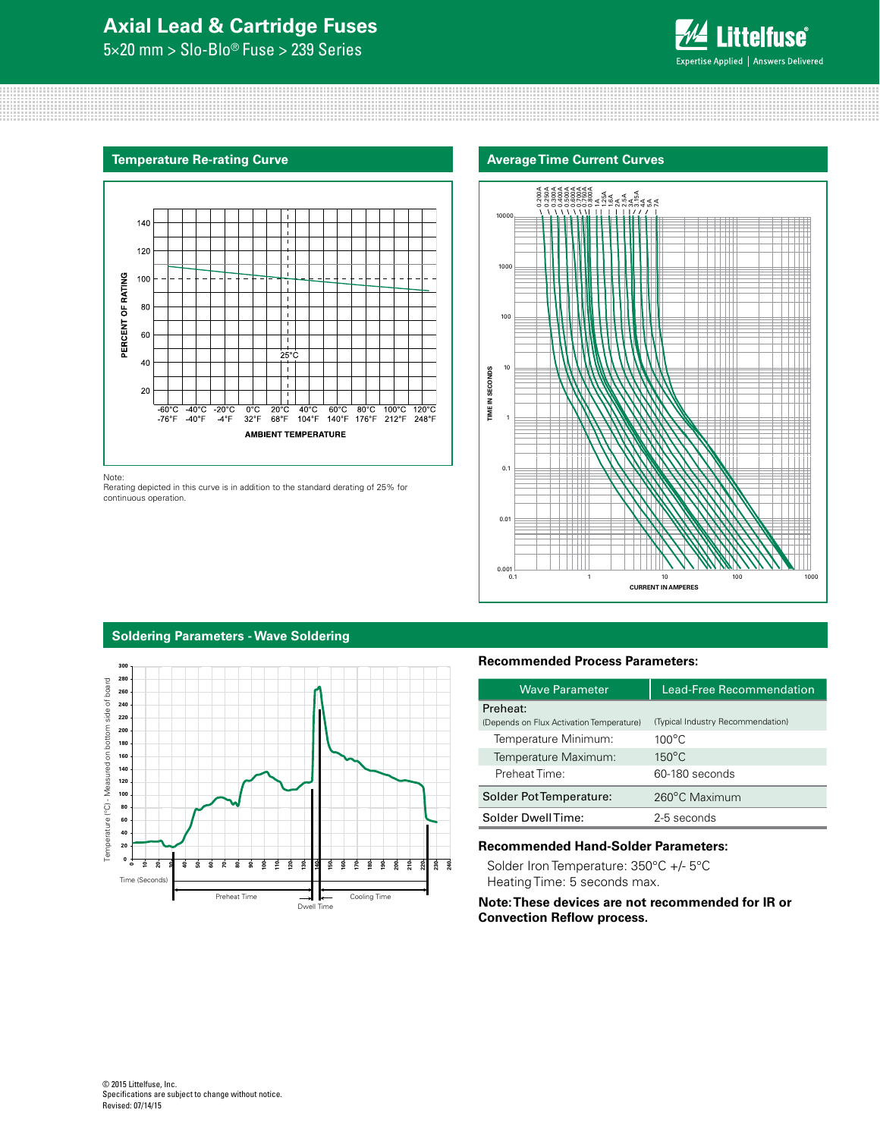5×20 mm > Slo-Blo® Fuse > 239 Series







Note:

Rerating depicted in this curve is in addition to the standard derating of 25% for continuous operation.



#### **Soldering Parameters - Wave Soldering**



### **Recommended Process Parameters:**

| <b>Wave Parameter</b>                                | <b>Lead-Free Recommendation</b>   |  |  |
|------------------------------------------------------|-----------------------------------|--|--|
| Preheat:<br>(Depends on Flux Activation Temperature) | (Typical Industry Recommendation) |  |  |
| Temperature Minimum:                                 | $100^{\circ}$ C                   |  |  |
| Temperature Maximum:                                 | $150^{\circ}$ C                   |  |  |
| Preheat Time:                                        | 60-180 seconds                    |  |  |
| Solder Pot Temperature:                              | 260°C Maximum                     |  |  |
| Solder DwellTime:                                    | 2-5 seconds                       |  |  |

### **Recommended Hand-Solder Parameters:**

Solder Iron Temperature: 350°C +/- 5°C Heating Time: 5 seconds max.

**Note: These devices are not recommended for IR or Convection Reflow process.**